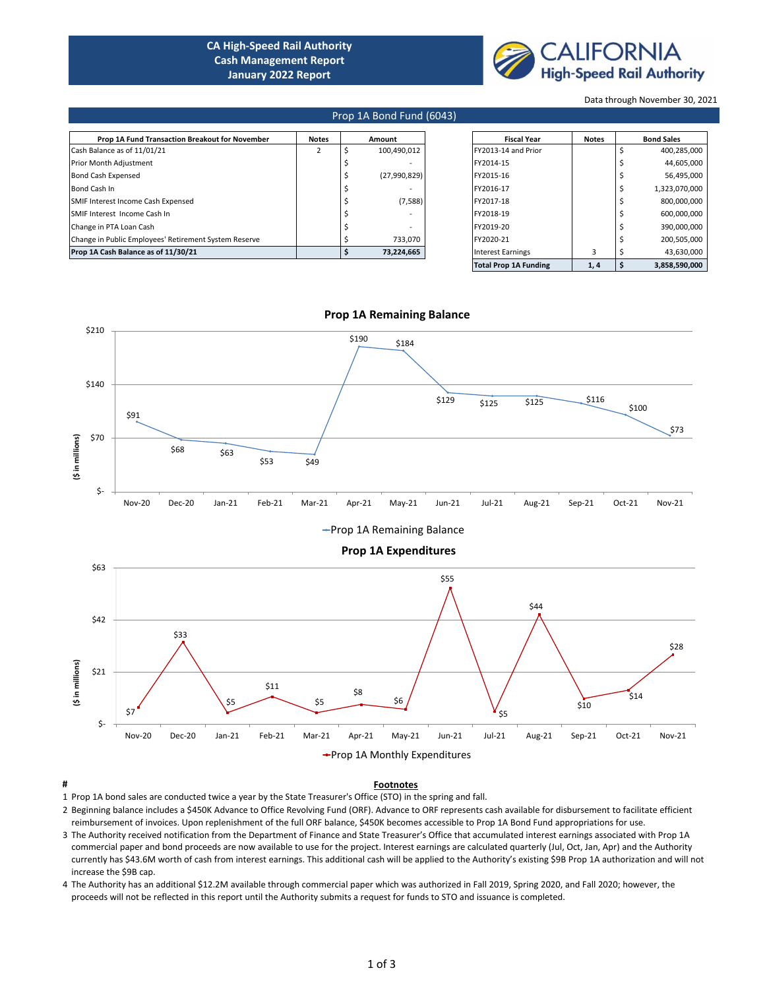# **CA High-Speed Rail Authority Cash Management Report January 2022 Report**



Data through November 30, 2021

## Prop 1A Bond Fund (6043)

| Prop 1A Fund Transaction Breakout for November        | <b>Notes</b> | Amount      |              | <b>Fiscal Year</b> | <b>Notes</b> | <b>Bond Sales</b>   |               |  |             |
|-------------------------------------------------------|--------------|-------------|--------------|--------------------|--------------|---------------------|---------------|--|-------------|
| Cash Balance as of 11/01/21                           |              | 100.490.012 |              |                    |              | FY2013-14 and Prior |               |  | 400,285,000 |
| Prior Month Adjustment                                |              |             |              | FY2014-15          |              |                     | 44,605,000    |  |             |
| <b>Bond Cash Expensed</b>                             |              |             | (27,990,829) | FY2015-16          |              |                     | 56,495,000    |  |             |
| Bond Cash In                                          |              |             |              | FY2016-17          |              |                     | 1,323,070,000 |  |             |
| SMIF Interest Income Cash Expensed                    |              |             | (7,588)      | FY2017-18          |              |                     | 800,000,000   |  |             |
| SMIF Interest Income Cash In                          |              |             |              | FY2018-19          |              |                     | 600,000,000   |  |             |
| Change in PTA Loan Cash                               |              |             |              | FY2019-20          |              |                     | 390,000,000   |  |             |
| Change in Public Employees' Retirement System Reserve |              |             | 733.070      | FY2020-21          |              |                     | 200.505.000   |  |             |
| Prop 1A Cash Balance as of 11/30/21                   |              |             | 73,224,665   | Interest Earnings  |              |                     | 43,630,000    |  |             |
|                                                       |              |             |              |                    |              |                     |               |  |             |

| <b>Fiscal Year</b>           | <b>Notes</b> | <b>Bond Sales</b> |               |  |  |
|------------------------------|--------------|-------------------|---------------|--|--|
| FY2013-14 and Prior          |              | \$                | 400,285,000   |  |  |
| FY2014-15                    |              | \$                | 44,605,000    |  |  |
| FY2015-16                    |              | \$                | 56,495,000    |  |  |
| FY2016-17                    |              | \$                | 1,323,070,000 |  |  |
| FY2017-18                    |              | \$                | 800,000,000   |  |  |
| FY2018-19                    |              | \$                | 600,000,000   |  |  |
| FY2019-20                    |              | \$                | 390,000,000   |  |  |
| FY2020-21                    |              | \$                | 200,505,000   |  |  |
| <b>Interest Earnings</b>     | 3            | \$                | 43,630,000    |  |  |
| <b>Total Prop 1A Funding</b> | 1,4          | \$                | 3.858.590.000 |  |  |



### **Prop 1A Remaining Balance**

**# Footnotes** 1 Prop 1A bond sales are conducted twice a year by the State Treasurer's Office (STO) in the spring and fall.

- 2 Beginning balance includes a \$450K Advance to Office Revolving Fund (ORF). Advance to ORF represents cash available for disbursement to facilitate efficient reimbursement of invoices. Upon replenishment of the full ORF balance, \$450K becomes accessible to Prop 1A Bond Fund appropriations for use.
- 3 The Authority received notification from the Department of Finance and State Treasurer's Office that accumulated interest earnings associated with Prop 1A commercial paper and bond proceeds are now available to use for the project. Interest earnings are calculated quarterly (Jul, Oct, Jan, Apr) and the Authority currently has \$43.6M worth of cash from interest earnings. This additional cash will be applied to the Authority's existing \$9B Prop 1A authorization and will not increase the \$9B cap.
- 4 The Authority has an additional \$12.2M available through commercial paper which was authorized in Fall 2019, Spring 2020, and Fall 2020; however, the proceeds will not be reflected in this report until the Authority submits a request for funds to STO and issuance is completed.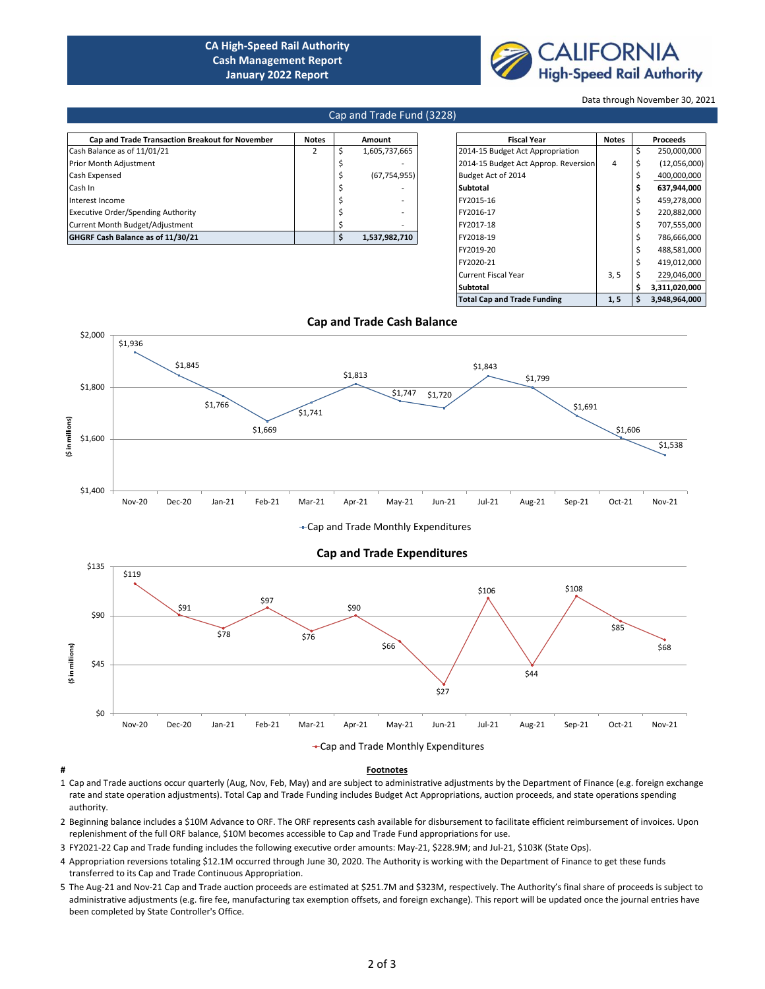# **CA High-Speed Rail Authority Cash Management Report January 2022 Report**



Data through November 30, 2021

### Cap and Trade Fund (3228)

| <b>Cap and Trade Transaction Breakout for November</b> | <b>Notes</b> | Amount         | <b>Fiscal Year</b> |                                      | <b>Notes</b> | Proceeds          |
|--------------------------------------------------------|--------------|----------------|--------------------|--------------------------------------|--------------|-------------------|
| Cash Balance as of 11/01/21                            |              | 1,605,737,665  |                    | 2014-15 Budget Act Appropriation     |              | 250,000,000       |
| Prior Month Adjustment                                 |              |                |                    | 2014-15 Budget Act Approp. Reversion | 4            | (12,056,000)      |
| Cash Expensed                                          |              | (67, 754, 955) |                    | Budget Act of 2014                   |              | 400,000,000       |
| Cash In                                                |              |                |                    | Subtotal                             |              | 637,944,000       |
| Interest Income                                        |              |                |                    | FY2015-16                            |              | 459,278,000       |
| <b>Executive Order/Spending Authority</b>              |              |                |                    | FY2016-17                            |              | 220,882,000       |
| Current Month Budget/Adjustment                        |              |                |                    | FY2017-18                            |              | 707,555,000       |
| GHGRF Cash Balance as of 11/30/21                      |              | 1,537,982,710  |                    | FY2018-19                            |              | 786,666,000       |
|                                                        |              |                |                    |                                      |              | $\cdots$ $\cdots$ |

| <b>Fiscal Year</b>                   | <b>Notes</b> |    | <b>Proceeds</b> |
|--------------------------------------|--------------|----|-----------------|
| 2014-15 Budget Act Appropriation     |              | \$ | 250,000,000     |
| 2014-15 Budget Act Approp. Reversion | 4            | \$ | (12,056,000)    |
| Budget Act of 2014                   |              | \$ | 400,000,000     |
| Subtotal                             |              | \$ | 637,944,000     |
| FY2015-16                            |              | \$ | 459,278,000     |
| FY2016-17                            |              | \$ | 220,882,000     |
| FY2017-18                            |              | Ś  | 707,555,000     |
| FY2018-19                            |              | \$ | 786,666,000     |
| FY2019-20                            |              | \$ | 488,581,000     |
| FY2020-21                            |              | Ś  | 419,012,000     |
| <b>Current Fiscal Year</b>           | 3, 5         | \$ | 229,046,000     |
| Subtotal                             |              | Ś  | 3,311,020,000   |
| <b>Total Cap and Trade Funding</b>   | 1, 5         | \$ | 3.948.964.000   |



-Cap and Trade Monthly Expenditures



### **# Footnotes**

- 1 Cap and Trade auctions occur quarterly (Aug, Nov, Feb, May) and are subject to administrative adjustments by the Department of Finance (e.g. foreign exchange rate and state operation adjustments). Total Cap and Trade Funding includes Budget Act Appropriations, auction proceeds, and state operations spending authority.
- 2 Beginning balance includes a \$10M Advance to ORF. The ORF represents cash available for disbursement to facilitate efficient reimbursement of invoices. Upon replenishment of the full ORF balance, \$10M becomes accessible to Cap and Trade Fund appropriations for use.
- 3 FY2021-22 Cap and Trade funding includes the following executive order amounts: May-21, \$228.9M; and Jul-21, \$103K (State Ops).
- 4 Appropriation reversions totaling \$12.1M occurred through June 30, 2020. The Authority is working with the Department of Finance to get these funds transferred to its Cap and Trade Continuous Appropriation.
- 5 The Aug-21 and Nov-21 Cap and Trade auction proceeds are estimated at \$251.7M and \$323M, respectively. The Authority's final share of proceeds is subject to administrative adjustments (e.g. fire fee, manufacturing tax exemption offsets, and foreign exchange). This report will be updated once the journal entries have been completed by State Controller's Office.